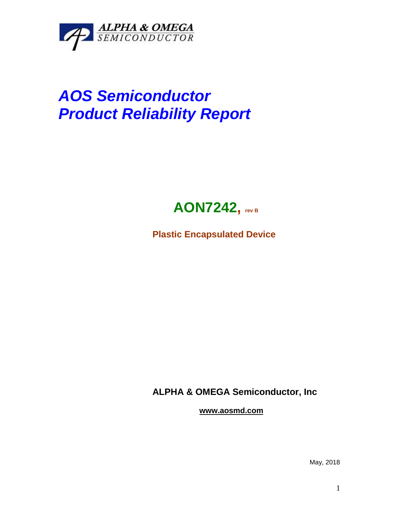

## *AOS Semiconductor Product Reliability Report*



**Plastic Encapsulated Device**

**ALPHA & OMEGA Semiconductor, Inc**

**www.aosmd.com**

May, 2018